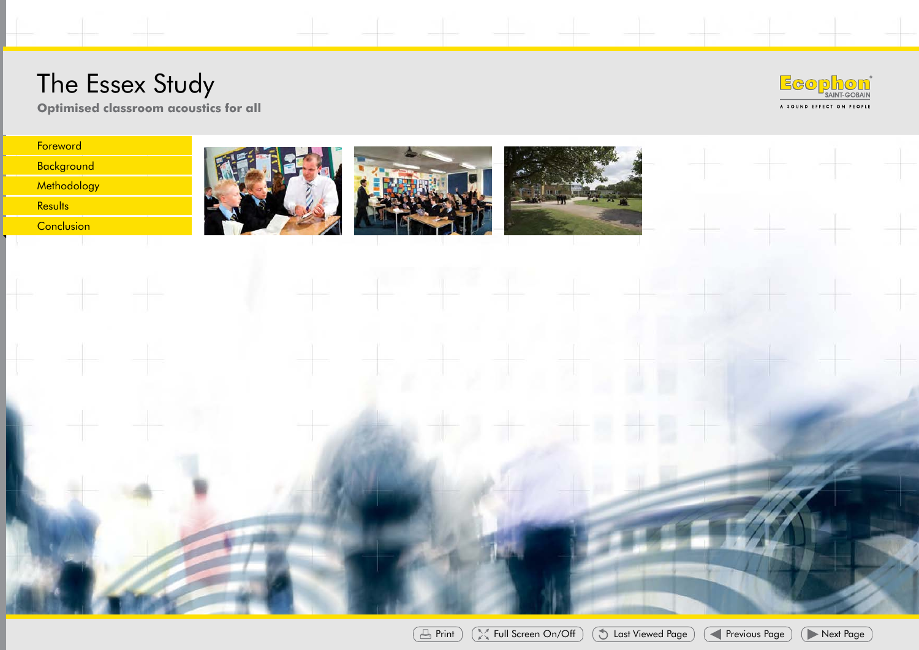#### The  $F$ ssex  $\mathbb I$ **Optimised classroom**



**acoustics for all Optimised classroom acoustics for all**









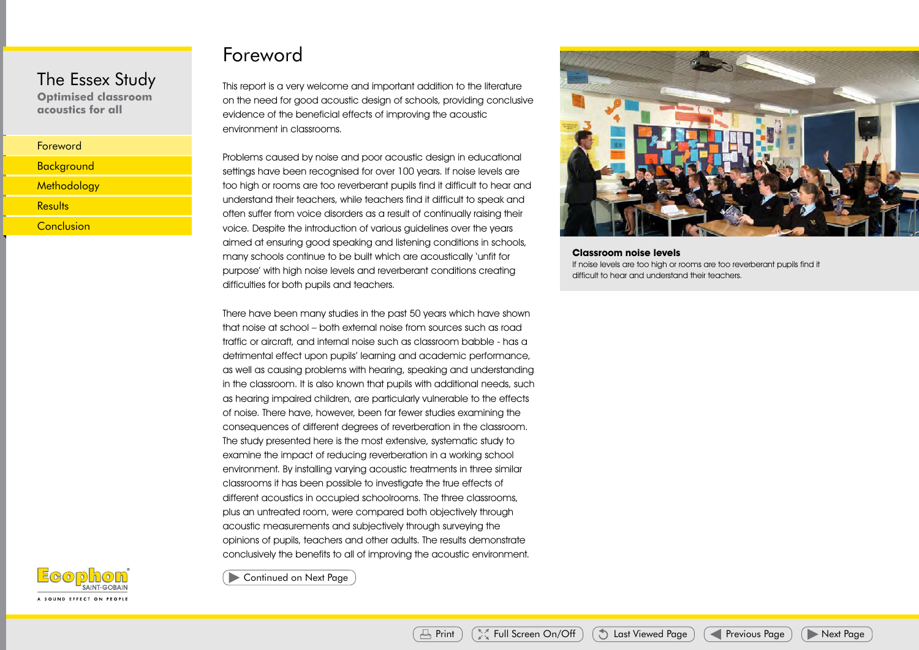**Optimised classroom acoustics for all**

### Foreword

This report is a very welcome and important addition to the literature on the need for good acoustic design of schools, providing conclusive evidence of the beneficial effects of improving the acoustic environment in classrooms.

Problems caused by noise and poor acoustic design in educational settings have been recognised for over 100 years. If noise levels are too high or rooms are too reverberant pupils find it difficult to hear and understand their teachers, while teachers find it difficult to speak and often suffer from voice disorders as a result of continually raising their voice. Despite the introduction of various guidelines over the years aimed at ensuring good speaking and listening conditions in schools, many schools continue to be built which are acoustically 'unfit for purpose' with high noise levels and reverberant conditions creating difficulties for both pupils and teachers.

There have been many studies in the past 50 years which have shown that noise at school – both external noise from sources such as road traffic or aircraft, and internal noise such as classroom babble - has a detrimental effect upon pupils' learning and academic performance, as well as causing problems with hearing, speaking and understanding in the classroom. It is also known that pupils with additional needs, such as hearing impaired children, are particularly vulnerable to the effects of noise. There have, however, been far fewer studies examining the consequences of different degrees of reverberation in the classroom. The study presented here is the most extensive, systematic study to examine the impact of reducing reverberation in a working school environment. By installing varying acoustic treatments in three similar classrooms it has been possible to investigate the true effects of different acoustics in occupied schoolrooms. The three classrooms, plus an untreated room, were compared both objectively through acoustic measurements and subjectively through surveying the opinions of pupils, teachers and other adults. The results demonstrate conclusively the benefits to all of improving the acoustic environment. Last Viewed Page Next Page Previous Previous Previous Page Previous Page Next Page Next Page Next Page Next Page Next Page Next Page Next Page Next Page Next Page Next Page Next Page Next Page Next Page Next Page Next Pag



**Classroom noise levels** If noise levels are too high or rooms are too reverberant pupils find it difficult to hear and understand their teachers.

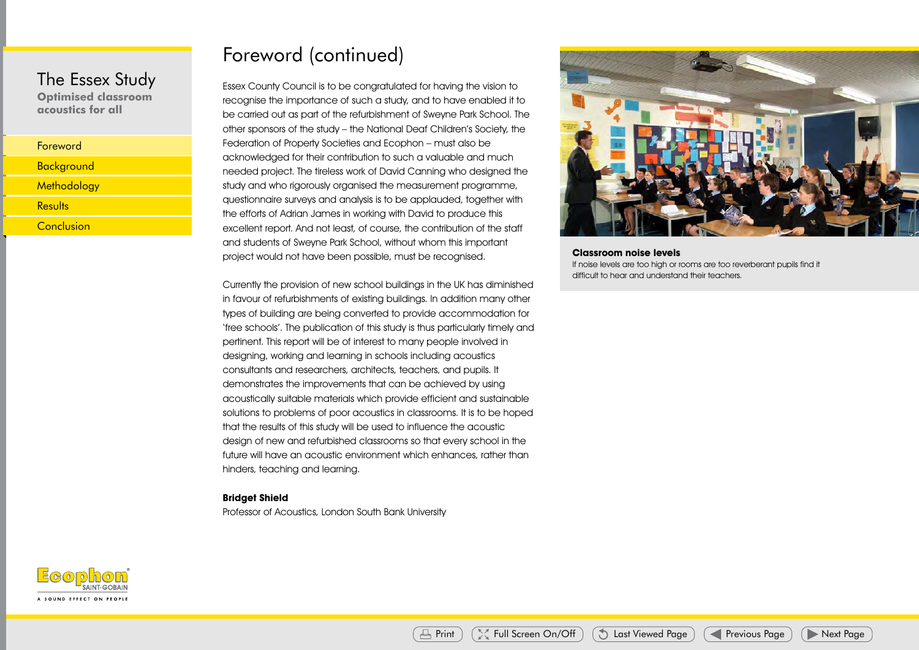**Optimised classroom acoustics for all**

# Foreword (continued)

Essex County Council is to be congratulated for having the vision to recognise the importance of such a study, and to have enabled it to be carried out as part of the refurbishment of Sweyne Park School. The other sponsors of the study – the National Deaf Children's Society, the Federation of Property Societies and Ecophon – must also be acknowledged for their contribution to such a valuable and much needed project. The tireless work of David Canning who designed the study and who rigorously organised the measurement programme, questionnaire surveys and analysis is to be applauded, together with the efforts of Adrian James in working with David to produce this excellent report. And not least, of course, the contribution of the staff and students of Sweyne Park School, without whom this important project would not have been possible, must be recognised.

Currently the provision of new school buildings in the UK has diminished in favour of refurbishments of existing buildings. In addition many other types of building are being converted to provide accommodation for 'free schools'. The publication of this study is thus particularly timely and pertinent. This report will be of interest to many people involved in designing, working and learning in schools including acoustics consultants and researchers, architects, teachers, and pupils. It demonstrates the improvements that can be achieved by using acoustically suitable materials which provide efficient and sustainable solutions to problems of poor acoustics in classrooms. It is to be hoped that the results of this study will be used to influence the acoustic design of new and refurbished classrooms so that every school in the future will have an acoustic environment which enhances, rather than hinders, teaching and learning. Exception and the methodology results Conclusion Principal Conclusion Principal Conclusion Principal Conclusion<br>
Results Conclusion Principal Conclusion Principal Conclusion Principal Conclusion Principal Conclusion Princi

#### **Bridget Shield**

Professor of Acoustics, London South Bank University



**Classroom noise levels** If noise levels are too high or rooms are too reverberant pupils find it difficult to hear and understand their teachers.

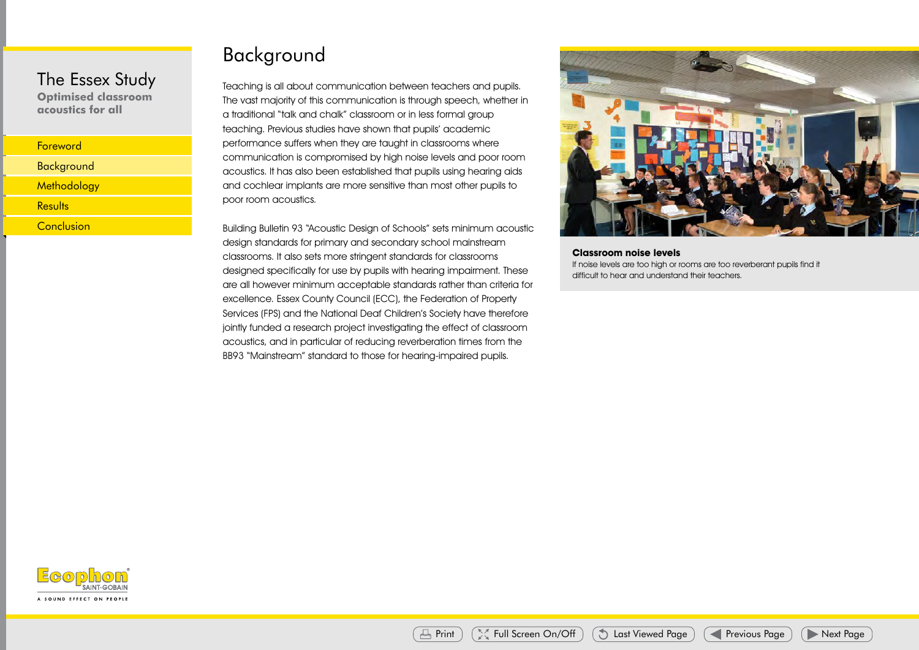**Optimised classroom acoustics for all**

# Background

Teaching is all about communication between teachers and pupils. The vast majority of this communication is through speech, whether in a traditional "talk and chalk" classroom or in less formal group teaching. Previous studies have shown that pupils' academic performance suffers when they are taught in classrooms where communication is compromised by high noise levels and poor room acoustics. It has also been established that pupils using hearing aids and cochlear implants are more sensitive than most other pupils to poor room acoustics.

Building Bulletin 93 "Acoustic Design of Schools" sets minimum acoustic design standards for primary and secondary school mainstream classrooms. It also sets more stringent standards for classrooms designed specifically for use by pupils with hearing impairment. These are all however minimum acceptable standards rather than criteria for excellence. Essex County Council (ECC), the Federation of Property Services (FPS) and the National Deaf Children's Society have therefore jointly funded a research project investigating the effect of classroom acoustics, and in particular of reducing reverberation times from the BB93 "Mainstream" standard to those for hearing-impaired pupils. Last Viewed Page Previous Previous Page Next Page Next Page Next Page Next Page Next Page Next Page Next Page Next Page Next Page Next Page Next Page Next Page Next Page Next Page Next Page Next Page Next Page Next Page Ne



**Classroom noise levels** If noise levels are too high or rooms are too reverberant pupils find it difficult to hear and understand their teachers.

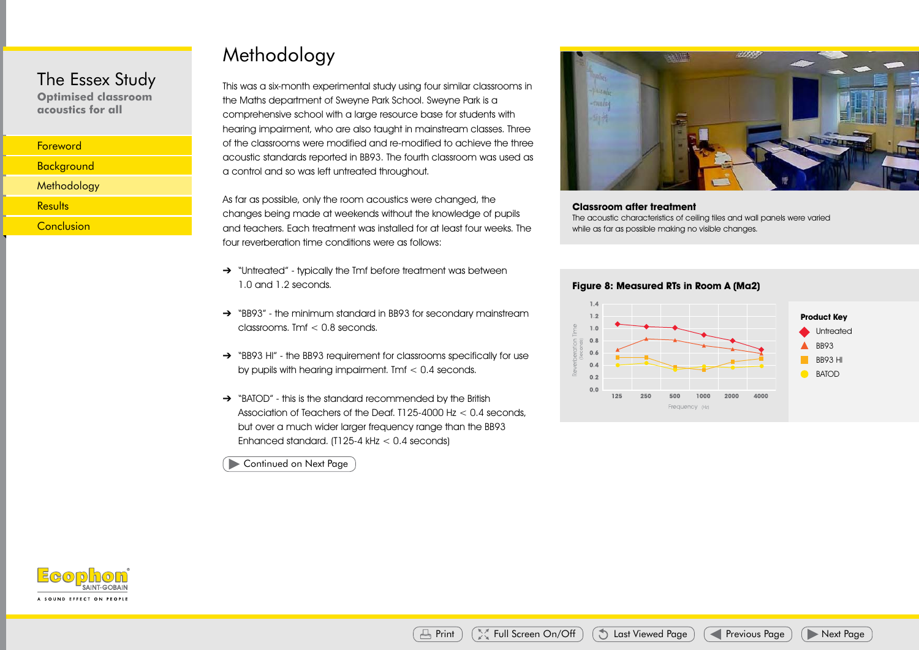**Optimised classroom acoustics for all**

| <b>Foreword</b> |
|-----------------|
|                 |
|                 |

# Methodology

This was a six-month experimental study using four similar classrooms in the Maths department of Sweyne Park School. Sweyne Park is a comprehensive school with a large resource base for students with hearing impairment, who are also taught in mainstream classes. Three of the classrooms were modified and re-modified to achieve the three acoustic standards reported in BB93. The fourth classroom was used as a control and so was left untreated throughout.

As far as possible, only the room acoustics were changed, the changes being made at weekends without the knowledge of pupils and teachers. Each treatment was installed for at least four weeks. The four reverberation time conditions were as follows:

- → "Untreated" typically the Tmf before treatment was between 1.0 and 1.2 seconds.
- ➔ "BB93" the minimum standard in BB93 for secondary mainstream classrooms. Tmf < 0.8 seconds.
- → "BB93 HI" the BB93 requirement for classrooms specifically for use by pupils with hearing impairment. Tmf < 0.4 seconds.
- → "BATOD" this is the standard recommended by the British Association of Teachers of the Deaf.  $1125-4000$  Hz  $< 0.4$  seconds, but over a much wider larger frequency range than the BB93 Enhanced standard. (T125-4 kHz < 0.4 seconds)



#### **Classroom after treatment**

The acoustic characteristics of ceiling tiles and wall panels were varied while as far as possible making no visible changes.



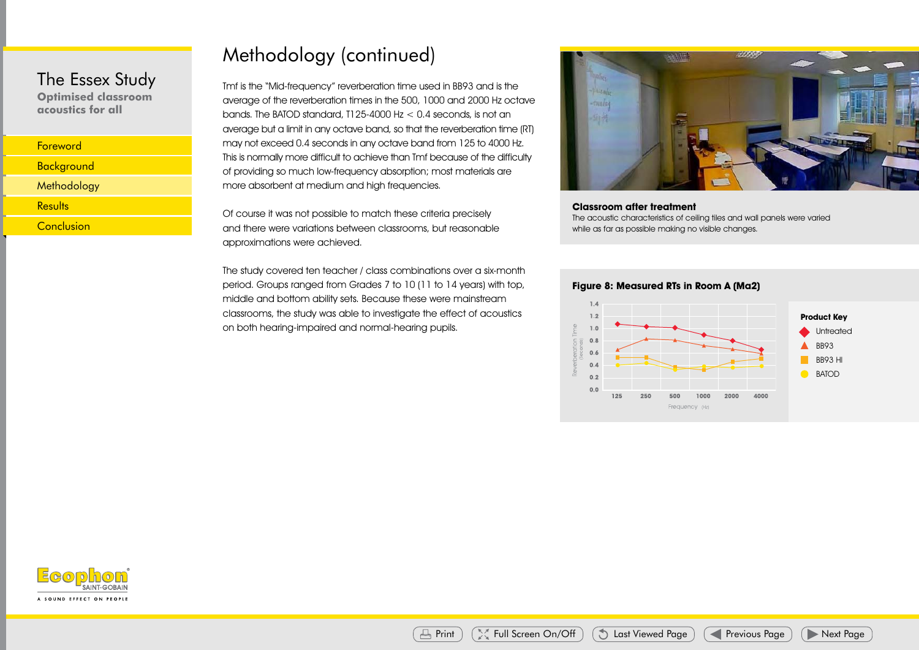**Optimised classroom acoustics for all**

| Foreword          |  |
|-------------------|--|
| <b>Background</b> |  |
| Methodology       |  |
| Results           |  |
| Conclusion        |  |
|                   |  |

# Methodology (continued)

Tmf is the "Mid-frequency" reverberation time used in BB93 and is the average of the reverberation times in the 500, 1000 and 2000 Hz octave bands. The BATOD standard, T125-4000 Hz  $<$  0.4 seconds, is not an average but a limit in any octave band, so that the reverberation time (RT) may not exceed 0.4 seconds in any octave band from 125 to 4000 Hz. This is normally more difficult to achieve than Tmf because of the difficulty of providing so much low-frequency absorption; most materials are more absorbent at medium and high frequencies.

Of course it was not possible to match these criteria precisely and there were variations between classrooms, but reasonable approximations were achieved.

The study covered ten teacher / class combinations over a six-month period. Groups ranged from Grades 7 to 10 (11 to 14 years) with top, middle and bottom ability sets. Because these were mainstream classrooms, the study was able to investigate the effect of acoustics on both hearing-impaired and normal-hearing pupils.



#### **Classroom after treatment**

The acoustic characteristics of ceiling tiles and wall panels were varied while as far as possible making no visible changes.



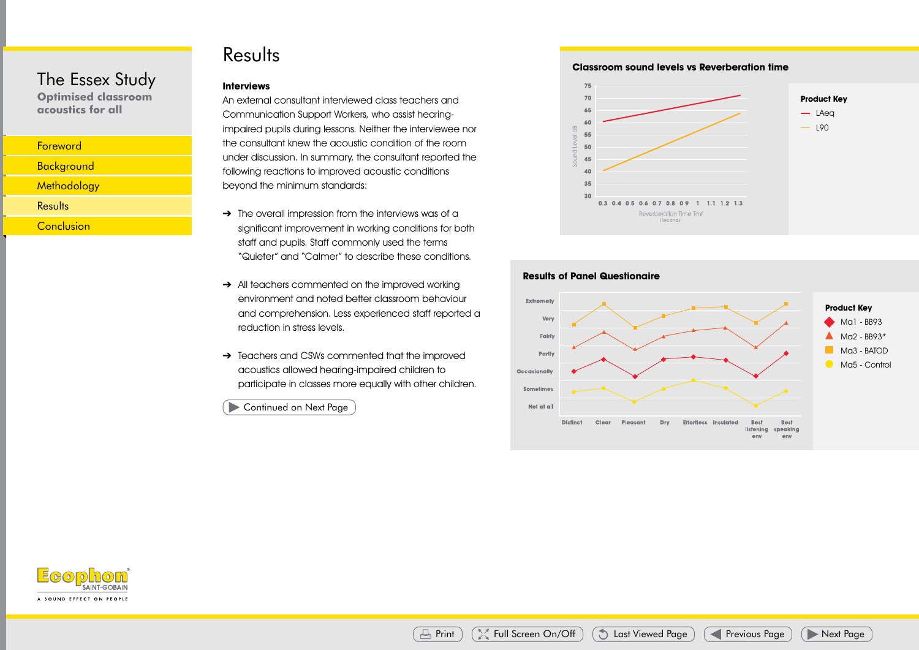## Results

#### **Interviews**

An external consultant interviewed class teachers and Communication Support Workers, who assist hearingimpaired pupils during lessons. Neither the interviewee nor the consultant knew the acoustic condition of the room under discussion. In summary, the consultant reported the following reactions to improved acoustic conditions beyond the minimum standards:

- $\rightarrow$  The overall impression from the interviews was of a significant improvement in working conditions for both staff and pupils. Staff commonly used the terms "Quieter" and "Calmer" to describe these conditions.
- → All teachers commented on the improved working environment and noted better classroom behaviour and comprehension. Less experienced staff reported a reduction in stress levels.
- → Teachers and CSWs commented that the improved acoustics allowed hearing-impaired children to participate in classes more equally with other children.

**Classroom sound levels vs Reverberation time**







The Essex Study **Optimised classroom acoustics for all**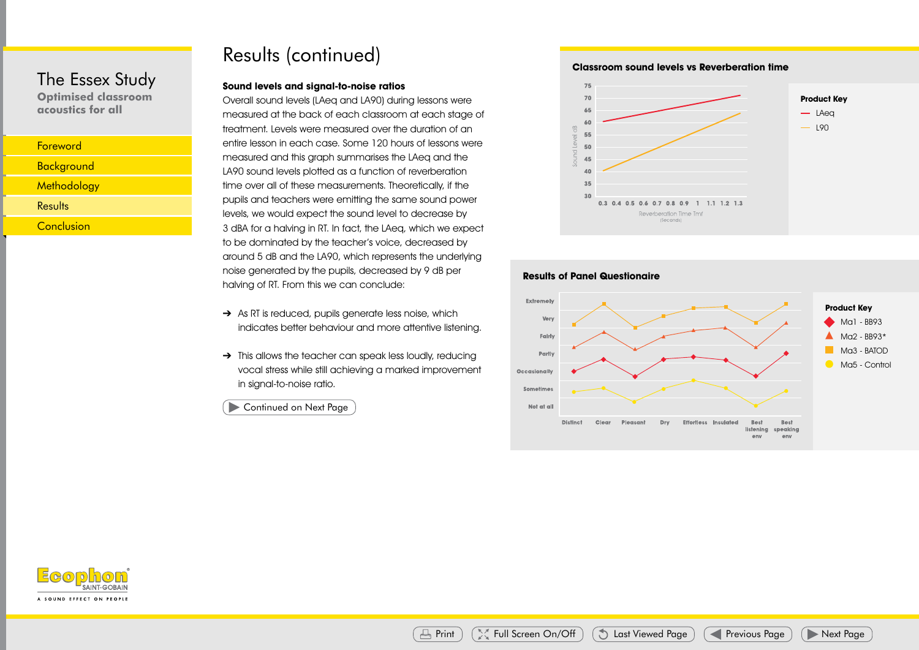**Optimised classroom acoustics for all**

| <b>Foreword</b>   |  |
|-------------------|--|
| <b>Background</b> |  |
| Methodology       |  |
| Results           |  |
| Conclusion        |  |
|                   |  |

# Results (continued)

#### **Sound levels and signal-to-noise ratios**

Overall sound levels (LAeq and LA90) during lessons were measured at the back of each classroom at each stage of treatment. Levels were measured over the duration of an entire lesson in each case. Some 120 hours of lessons were measured and this graph summarises the LAeq and the LA90 sound levels plotted as a function of reverberation time over all of these measurements. Theoretically, if the pupils and teachers were emitting the same sound power levels, we would expect the sound level to decrease by 3 dBA for a halving in RT. In fact, the LAeq, which we expect to be dominated by the teacher's voice, decreased by around 5 dB and the LA90, which represents the underlying noise generated by the pupils, decreased by 9 dB per halving of RT. From this we can conclude:

- → As RT is reduced, pupils generate less noise, which indicates better behaviour and more attentive listening.
- → This allows the teacher can speak less loudly, reducing vocal stress while still achieving a marked improvement in signal-to-noise ratio.

**Classroom sound levels vs Reverberation time**





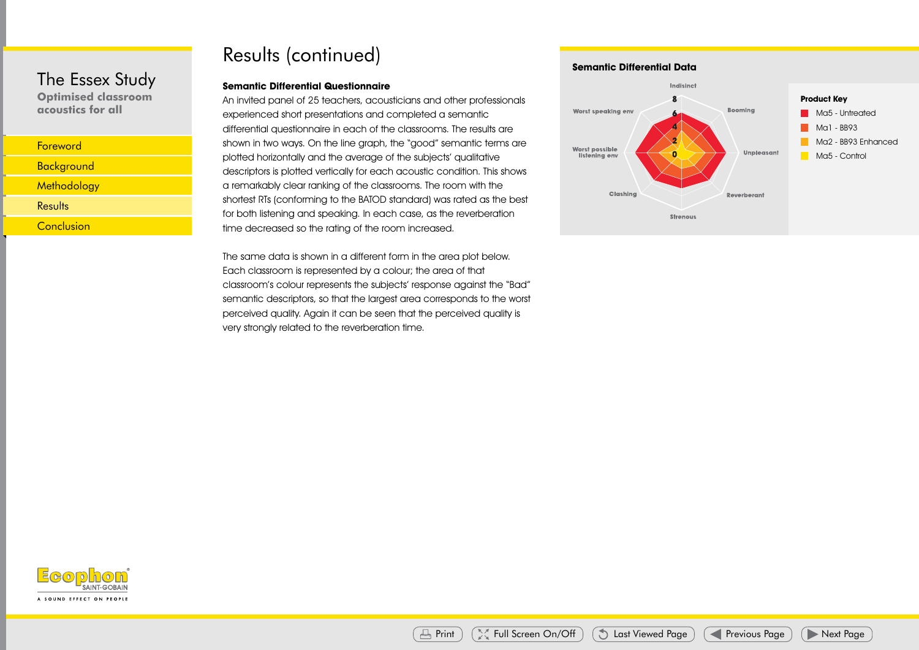**Optimised classroom acoustics for all**

| <b>Foreword</b>    |  |
|--------------------|--|
| <b>Background</b>  |  |
| <b>Methodology</b> |  |
| Results            |  |
| Conclusion         |  |

# Results (continued)

#### **Semantic Differential Questionnaire**

An invited panel of 25 teachers, acousticians and other professionals experienced short presentations and completed a semantic differential questionnaire in each of the classrooms. The results are shown in two ways. On the line graph, the "good" semantic terms are plotted horizontally and the average of the subjects' qualitative descriptors is plotted vertically for each acoustic condition. This shows a remarkably clear ranking of the classrooms. The room with the shortest RTs (conforming to the BATOD standard) was rated as the best for both listening and speaking. In each case, as the reverberation time decreased so the rating of the room increased. Last Viewed Page Previous Page Next Page Next Page Next Page Previous Page Next Page Next Page Next Page Next Page Next Page Next Page Next Page Next Page Next Page Next Page Next Page Next Page Next Page Next Page Next Pa

The same data is shown in a different form in the area plot below. Each classroom is represented by a colour; the area of that classroom's colour represents the subjects' response against the "Bad" semantic descriptors, so that the largest area corresponds to the worst perceived quality. Again it can be seen that the perceived quality is very strongly related to the reverberation time.

#### **Semantic Differential Data**



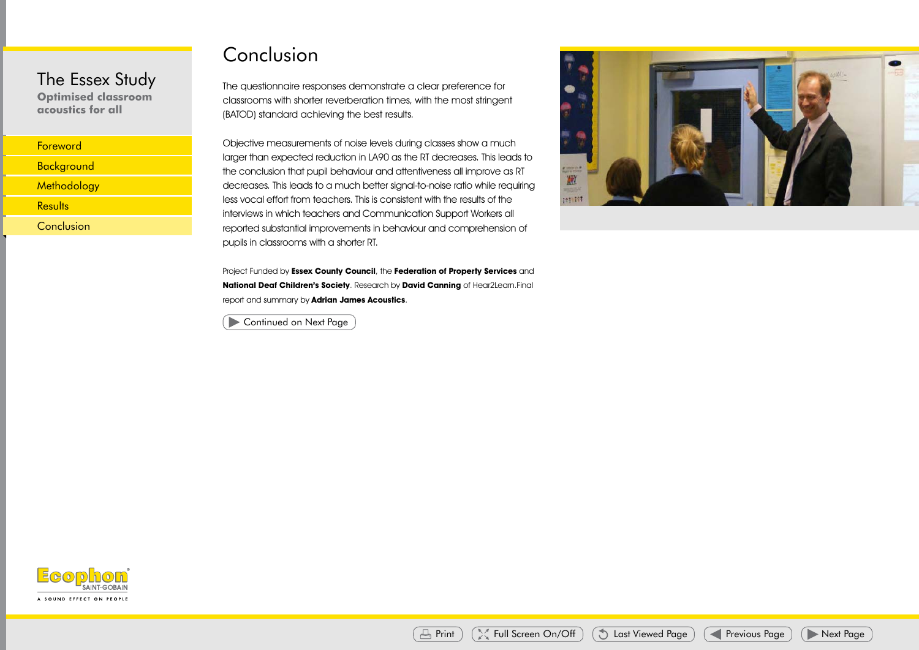**Optimised classroom acoustics for all**

| Foreword          |  |
|-------------------|--|
| <b>Background</b> |  |
| Methodology       |  |
| Results           |  |
| Conclusion        |  |
|                   |  |

# Conclusion

The questionnaire responses demonstrate a clear preference for classrooms with shorter reverberation times, with the most stringent (BATOD) standard achieving the best results.

Objective measurements of noise levels during classes show a much larger than expected reduction in LA90 as the RT decreases. This leads to the conclusion that pupil behaviour and attentiveness all improve as RT decreases. This leads to a much better signal-to-noise ratio while requiring less vocal effort from teachers. This is consistent with the results of the interviews in which teachers and Communication Support Workers all reported substantial improvements in behaviour and comprehension of pupils in classrooms with a shorter RT. Last Viewed Page Previous Page Previous Page Previous Page Next Page Next Page Next Page Previous Page Next Page Next Page Next Page Next Page Previous Page Next Page Print Full Screen Online Page Next Page Previous Page N

Project Funded by **Essex County Council**, the **Federation of Property Services** and **National Deaf Children's Society**. Research by **David Canning** of Hear2Learn.Final report and summary by **Adrian James Acoustics**.